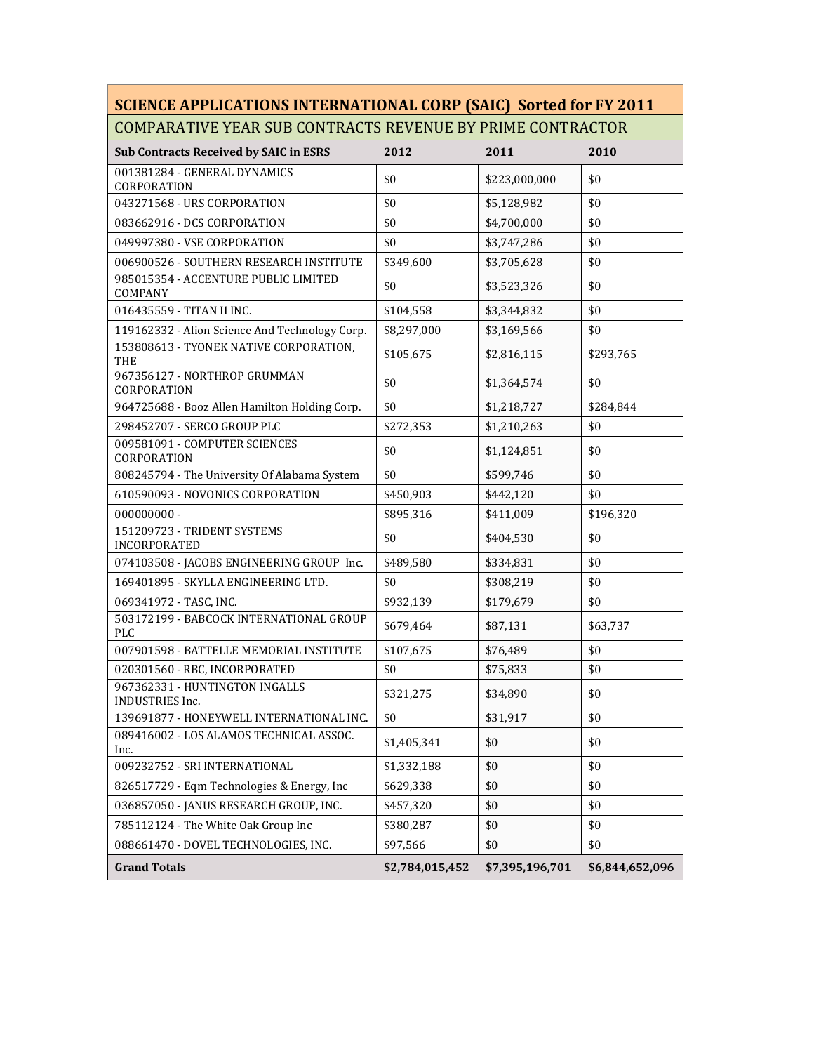## **SCIENCE APPLICATIONS INTERNATIONAL CORP (SAIC) Sorted for FY 2011** COMPARATIVE YEAR SUB CONTRACTS REVENUE BY PRIME CONTRACTOR

| <b>Sub Contracts Received by SAIC in ESRS</b>         | 2012            | 2011            | 2010            |
|-------------------------------------------------------|-----------------|-----------------|-----------------|
| 001381284 - GENERAL DYNAMICS<br>CORPORATION           | \$0             | \$223,000,000   | \$0             |
| 043271568 - URS CORPORATION                           | \$0             | \$5,128,982     | \$0             |
| 083662916 - DCS CORPORATION                           | \$0             | \$4,700,000     | \$0             |
| 049997380 - VSE CORPORATION                           | \$0             | \$3,747,286     | \$0             |
| 006900526 - SOUTHERN RESEARCH INSTITUTE               | \$349,600       | \$3,705,628     | \$0             |
| 985015354 - ACCENTURE PUBLIC LIMITED<br>COMPANY       | \$0             | \$3,523,326     | \$0             |
| 016435559 - TITAN II INC.                             | \$104,558       | \$3,344,832     | \$0             |
| 119162332 - Alion Science And Technology Corp.        | \$8,297,000     | \$3,169,566     | \$0             |
| 153808613 - TYONEK NATIVE CORPORATION,<br>THE         | \$105,675       | \$2,816,115     | \$293,765       |
| 967356127 - NORTHROP GRUMMAN<br>CORPORATION           | \$0             | \$1,364,574     | \$0             |
| 964725688 - Booz Allen Hamilton Holding Corp.         | \$0             | \$1,218,727     | \$284,844       |
| 298452707 - SERCO GROUP PLC                           | \$272,353       | \$1,210,263     | \$0             |
| 009581091 - COMPUTER SCIENCES<br>CORPORATION          | \$0             | \$1,124,851     | \$0             |
| 808245794 - The University Of Alabama System          | \$0             | \$599,746       | \$0             |
| 610590093 - NOVONICS CORPORATION                      | \$450,903       | \$442,120       | \$0             |
| $000000000 -$                                         | \$895,316       | \$411,009       | \$196,320       |
| 151209723 - TRIDENT SYSTEMS<br>INCORPORATED           | \$0             | \$404,530       | \$0             |
| 074103508 - JACOBS ENGINEERING GROUP Inc.             | \$489,580       | \$334,831       | \$0             |
| 169401895 - SKYLLA ENGINEERING LTD.                   | \$0             | \$308,219       | \$0             |
| 069341972 - TASC, INC.                                | \$932,139       | \$179,679       | \$0             |
| 503172199 - BABCOCK INTERNATIONAL GROUP<br><b>PLC</b> | \$679,464       | \$87,131        | \$63,737        |
| 007901598 - BATTELLE MEMORIAL INSTITUTE               | \$107,675       | \$76,489        | \$0             |
| 020301560 - RBC, INCORPORATED                         | \$0             | \$75,833        | \$0             |
| 967362331 - HUNTINGTON INGALLS<br>INDUSTRIES Inc.     | \$321,275       | \$34,890        | \$0             |
| 139691877 - HONEYWELL INTERNATIONAL INC.              | \$0             | \$31,917        | \$0             |
| 089416002 - LOS ALAMOS TECHNICAL ASSOC.<br>Inc.       | \$1,405,341     | \$0             | \$0             |
| 009232752 - SRI INTERNATIONAL                         | \$1,332,188     | \$0             | \$0             |
| 826517729 - Eqm Technologies & Energy, Inc            | \$629,338       | \$0             | \$0             |
| 036857050 - JANUS RESEARCH GROUP, INC.                | \$457,320       | \$0             | \$0             |
| 785112124 - The White Oak Group Inc                   | \$380,287       | \$0             | \$0             |
| 088661470 - DOVEL TECHNOLOGIES, INC.                  | \$97,566        | \$0             | \$0             |
| <b>Grand Totals</b>                                   | \$2,784,015,452 | \$7,395,196,701 | \$6,844,652,096 |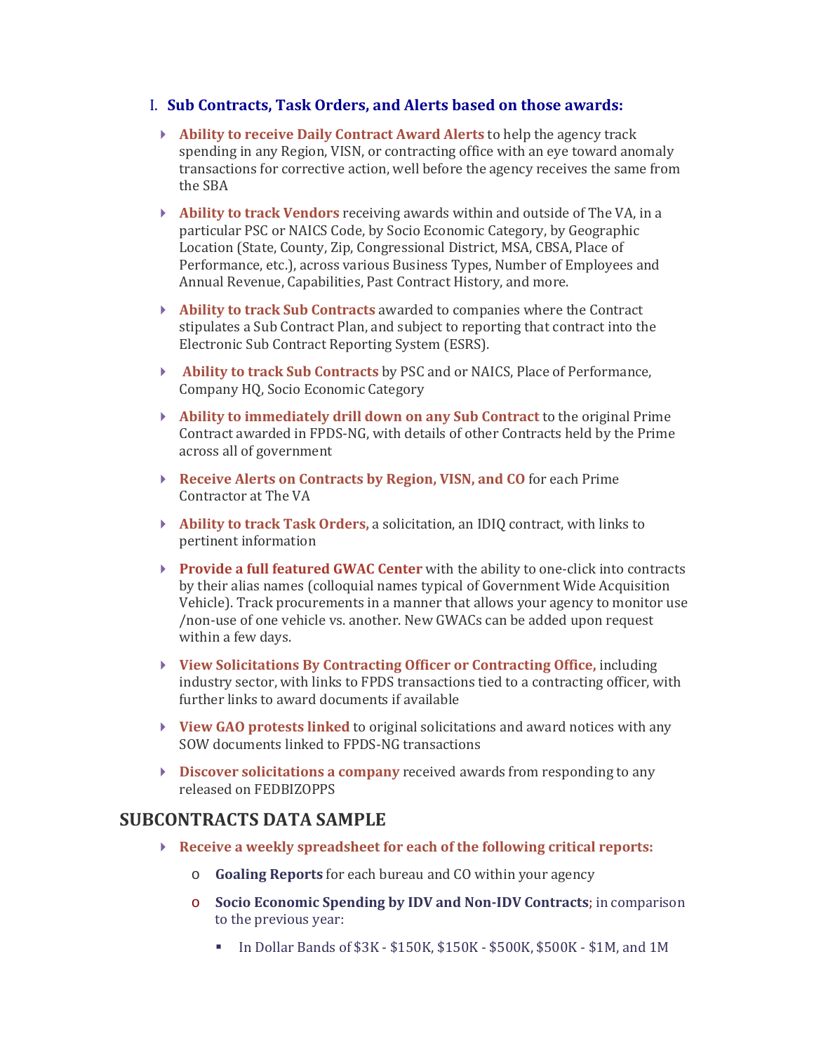## I. **Sub Contracts, Task Orders, and Alerts based on those awards:**

- **Ability to receive Daily Contract Award Alerts** to help the agency track spending in any Region, VISN, or contracting office with an eye toward anomaly transactions for corrective action, well before the agency receives the same from the SBA
- **Ability to track Vendors** receiving awards within and outside of The VA, in a particular PSC or NAICS Code, by Socio Economic Category, by Geographic Location (State, County, Zip, Congressional District, MSA, CBSA, Place of Performance, etc.), across various Business Types, Number of Employees and Annual Revenue, Capabilities, Past Contract History, and more.
- **Ability to track Sub Contracts** awarded to companies where the Contract stipulates a Sub Contract Plan, and subject to reporting that contract into the Electronic Sub Contract Reporting System (ESRS).
- **Ability to track Sub Contracts** by PSC and or NAICS, Place of Performance, Company HQ, Socio Economic Category
- **Ability to immediately drill down on any Sub Contract** to the original Prime Contract awarded in FPDS-NG, with details of other Contracts held by the Prime across all of government
- **Receive Alerts on Contracts by Region, VISN, and CO** for each Prime Contractor at The VA
- **Ability to track Task Orders,** a solicitation, an IDIQ contract, with links to pertinent information
- **Provide a full featured GWAC Center** with the ability to one-click into contracts by their alias names (colloquial names typical of Government Wide Acquisition Vehicle). Track procurements in a manner that allows your agency to monitor use /non-use of one vehicle vs. another. New GWACs can be added upon request within a few days.
- **View Solicitations By Contracting Officer or Contracting Office,** including industry sector, with links to FPDS transactions tied to a contracting officer, with further links to award documents if available
- **[View GAO protests linked](http://www.fedmine.us/reports/)** to original solicitations and award notices with any SOW documents linked to FPDS-NG transactions
- **Discover solicitations a company** received awards from responding to any released on FEDBIZOPPS

## **SUBCONTRACTS DATA SAMPLE**

- **Receive a weekly spreadsheet for each of the following critical reports:** 
	- o **Goaling Reports** for each bureau and CO within your agency
	- o **Socio Economic Spending by IDV and Non-IDV Contracts**; in comparison to the previous year:
		- In Dollar Bands of \$3K \$150K, \$150K \$500K, \$500K \$1M, and 1M